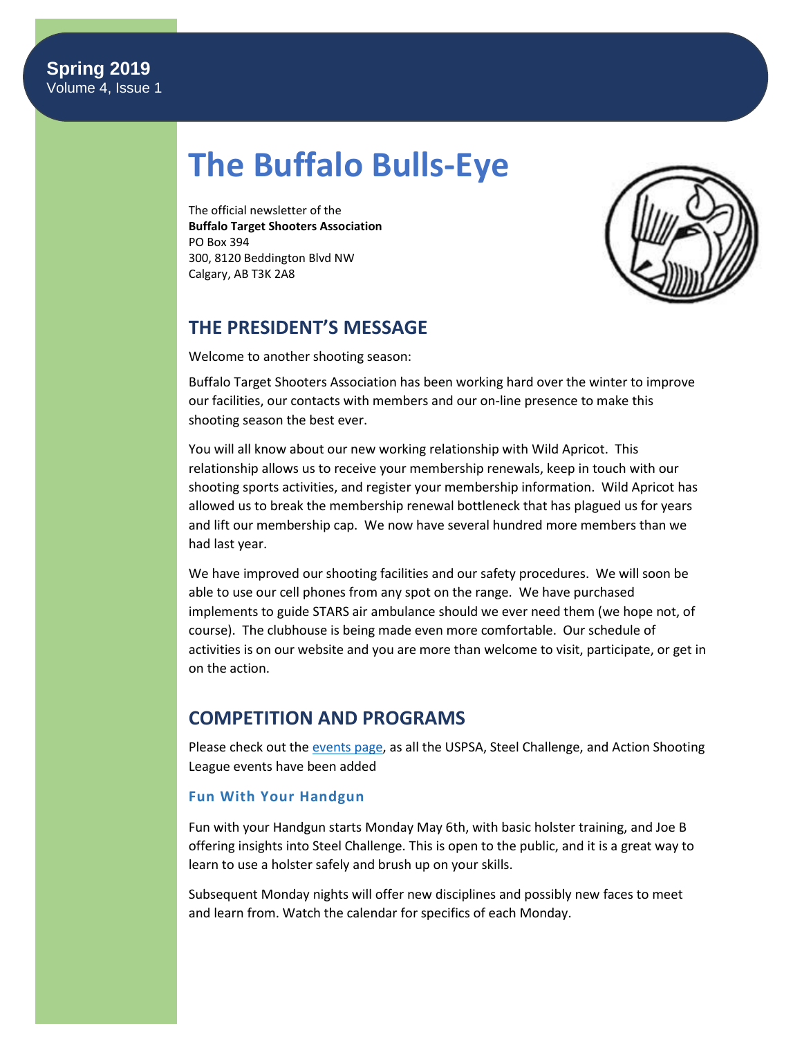# **The Buffalo Bulls-Eye**

The official newsletter of the **Buffalo Target Shooters Association** PO Box 394 300, 8120 Beddington Blvd NW Calgary, AB T3K 2A8



# **THE PRESIDENT'S MESSAGE**

Welcome to another shooting season:

Buffalo Target Shooters Association has been working hard over the winter to improve our facilities, our contacts with members and our on-line presence to make this shooting season the best ever.

You will all know about our new working relationship with Wild Apricot. This relationship allows us to receive your membership renewals, keep in touch with our shooting sports activities, and register your membership information. Wild Apricot has allowed us to break the membership renewal bottleneck that has plagued us for years and lift our membership cap. We now have several hundred more members than we had last year.

We have improved our shooting facilities and our safety procedures. We will soon be able to use our cell phones from any spot on the range. We have purchased implements to guide STARS air ambulance should we ever need them (we hope not, of course). The clubhouse is being made even more comfortable. Our schedule of activities is on our website and you are more than welcome to visit, participate, or get in on the action.

# **COMPETITION AND PROGRAMS**

Please check out th[e events page,](https://www.btsa.ca/events?EventViewMode=1&EventListViewMode=2) as all the USPSA, Steel Challenge, and Action Shooting League events have been added

#### **Fun With Your Handgun**

Fun with your Handgun starts Monday May 6th, with basic holster training, and Joe B offering insights into Steel Challenge. This is open to the public, and it is a great way to learn to use a holster safely and brush up on your skills.

Subsequent Monday nights will offer new disciplines and possibly new faces to meet and learn from. Watch the calendar for specifics of each Monday.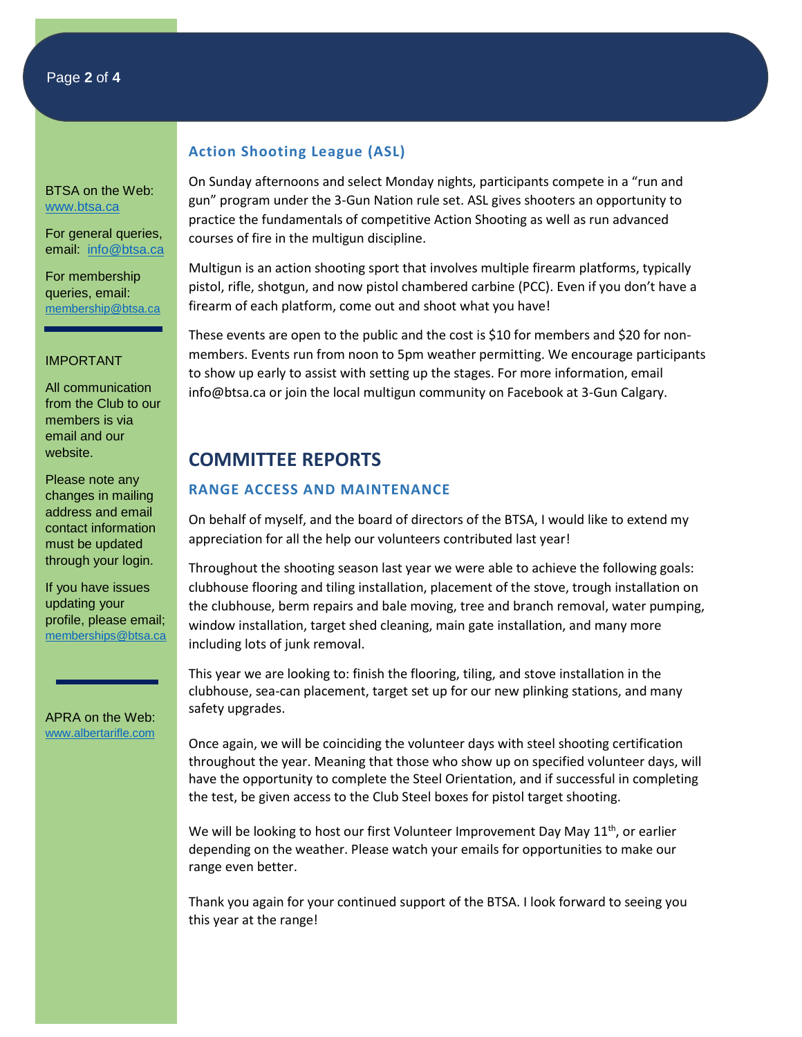#### Page **2** of **4**

BTSA on the Web: [www.btsa.ca](http://www.btsa.ca/)

For general queries, email: [info@btsa.ca](mailto:info@btsa.ca)

For membership queries, email: [membership@btsa.ca](mailto:membership@btsa.ca)

#### IMPORTANT

All communication from the Club to our members is via email and our website.

Please note any changes in mailing address and email contact information must be updated through your login.

If you have issues updating your profile, please email; [memberships@btsa.ca](mailto:memberships@btsa.ca)

APRA on the Web: [www.albertarifle.com](http://www.albertarifle.com/)

#### **Action Shooting League (ASL)**

On Sunday afternoons and select Monday nights, participants compete in a "run and gun" program under the 3-Gun Nation rule set. ASL gives shooters an opportunity to practice the fundamentals of competitive Action Shooting as well as run advanced courses of fire in the multigun discipline.

Multigun is an action shooting sport that involves multiple firearm platforms, typically pistol, rifle, shotgun, and now pistol chambered carbine (PCC). Even if you don't have a firearm of each platform, come out and shoot what you have!

These events are open to the public and the cost is \$10 for members and \$20 for nonmembers. Events run from noon to 5pm weather permitting. We encourage participants to show up early to assist with setting up the stages. For more information, email [info@btsa.ca](mailto:info@btsa.ca) or join the local multigun community on Facebook at 3-Gun Calgary.

## **COMMITTEE REPORTS**

#### **RANGE ACCESS AND MAINTENANCE**

On behalf of myself, and the board of directors of the BTSA, I would like to extend my appreciation for all the help our volunteers contributed last year!

Throughout the shooting season last year we were able to achieve the following goals: clubhouse flooring and tiling installation, placement of the stove, trough installation on the clubhouse, berm repairs and bale moving, tree and branch removal, water pumping, window installation, target shed cleaning, main gate installation, and many more including lots of junk removal.

This year we are looking to: finish the flooring, tiling, and stove installation in the clubhouse, sea-can placement, target set up for our new plinking stations, and many safety upgrades.

Once again, we will be coinciding the volunteer days with steel shooting certification throughout the year. Meaning that those who show up on specified volunteer days, will have the opportunity to complete the Steel Orientation, and if successful in completing the test, be given access to the Club Steel boxes for pistol target shooting.

We will be looking to host our first Volunteer Improvement Day May  $11<sup>th</sup>$ , or earlier depending on the weather. Please watch your emails for opportunities to make our range even better.

Thank you again for your continued support of the BTSA. I look forward to seeing you this year at the range!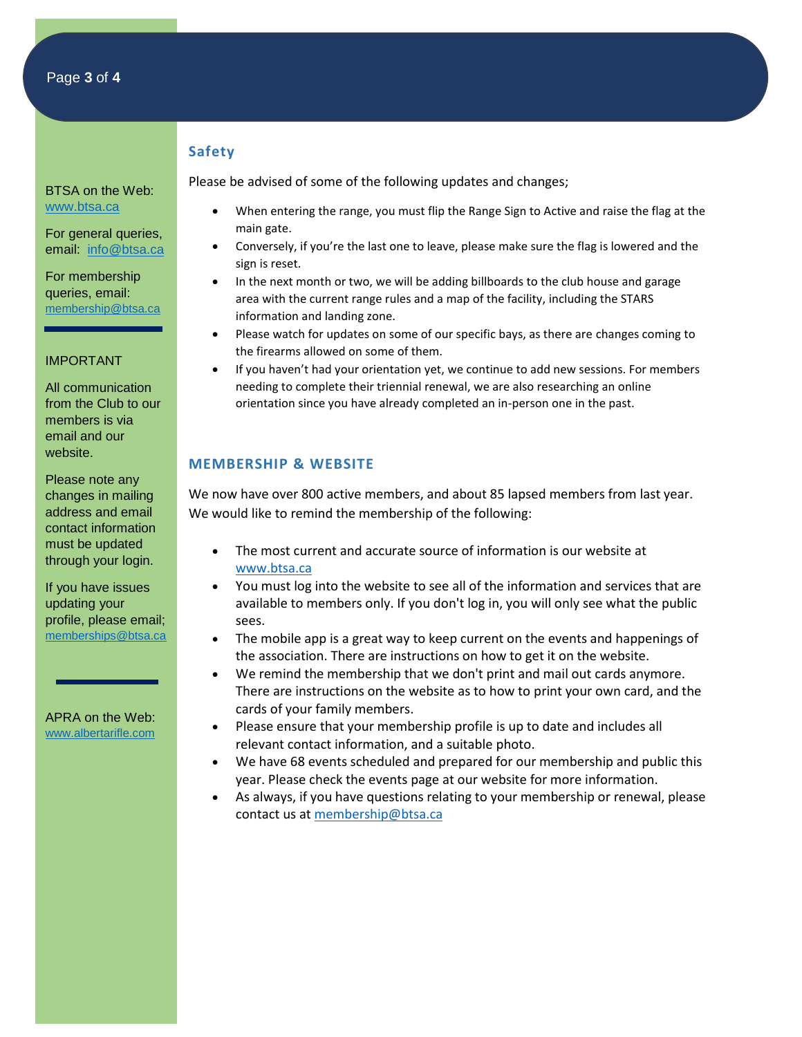#### **Safety**

Please be advised of some of the following updates and changes;

- When entering the range, you must flip the Range Sign to Active and raise the flag at the main gate.
- Conversely, if you're the last one to leave, please make sure the flag is lowered and the sign is reset.
- In the next month or two, we will be adding billboards to the club house and garage area with the current range rules and a map of the facility, including the STARS information and landing zone.
- Please watch for updates on some of our specific bays, as there are changes coming to the firearms allowed on some of them.
- If you haven't had your orientation yet, we continue to add new sessions. For members needing to complete their triennial renewal, we are also researching an online orientation since you have already completed an in-person one in the past.

#### **MEMBERSHIP & WEBSITE**

We now have over 800 active members, and about 85 lapsed members from last year. We would like to remind the membership of the following:

- The most current and accurate source of information is our website at [www.btsa.ca](http://www.btsa.ca/)
- You must log into the website to see all of the information and services that are available to members only. If you don't log in, you will only see what the public sees.
- The mobile app is a great way to keep current on the events and happenings of the association. There are instructions on how to get it on the website.
- We remind the membership that we don't print and mail out cards anymore. There are instructions on the website as to how to print your own card, and the cards of your family members.
- Please ensure that your membership profile is up to date and includes all relevant contact information, and a suitable photo.
- We have 68 events scheduled and prepared for our membership and public this year. Please check the events page at our website for more information.
- As always, if you have questions relating to your membership or renewal, please contact us at [membership@btsa.ca](mailto:membership@btsa.ca)

BTSA on the Web: [www.btsa.ca](http://www.btsa.ca/)

For general queries, email: [info@btsa.ca](mailto:info@btsa.ca)

For membership queries, email: [membership@btsa.ca](mailto:membership@btsa.ca)

#### IMPORTANT

All communication from the Club to our members is via email and our website.

Please note any changes in mailing address and email contact information must be updated through your login.

If you have issues updating your profile, please email; [memberships@btsa.ca](mailto:memberships@btsa.ca)

APRA on the Web: [www.albertarifle.com](http://www.albertarifle.com/)